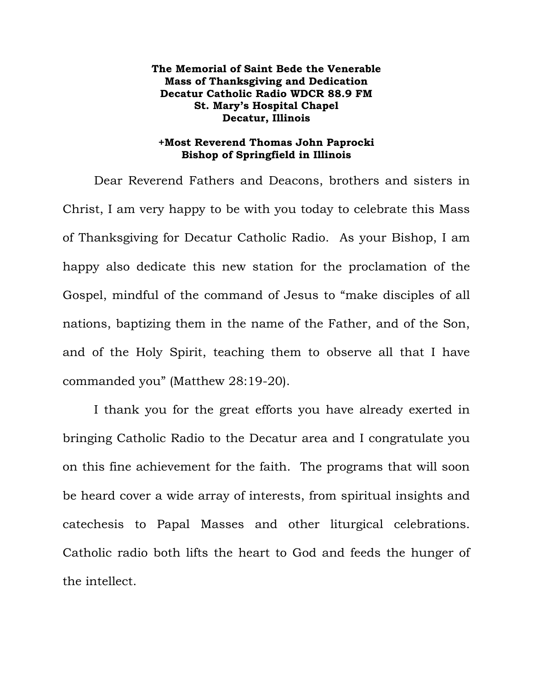## **The Memorial of Saint Bede the Venerable Mass of Thanksgiving and Dedication Decatur Catholic Radio WDCR 88.9 FM St. Mary's Hospital Chapel Decatur, Illinois**

## **+Most Reverend Thomas John Paprocki Bishop of Springfield in Illinois**

 Dear Reverend Fathers and Deacons, brothers and sisters in Christ, I am very happy to be with you today to celebrate this Mass of Thanksgiving for Decatur Catholic Radio. As your Bishop, I am happy also dedicate this new station for the proclamation of the Gospel, mindful of the command of Jesus to "make disciples of all nations, baptizing them in the name of the Father, and of the Son, and of the Holy Spirit, teaching them to observe all that I have commanded you" (Matthew 28:19-20).

 I thank you for the great efforts you have already exerted in bringing Catholic Radio to the Decatur area and I congratulate you on this fine achievement for the faith. The programs that will soon be heard cover a wide array of interests, from spiritual insights and catechesis to Papal Masses and other liturgical celebrations. Catholic radio both lifts the heart to God and feeds the hunger of the intellect.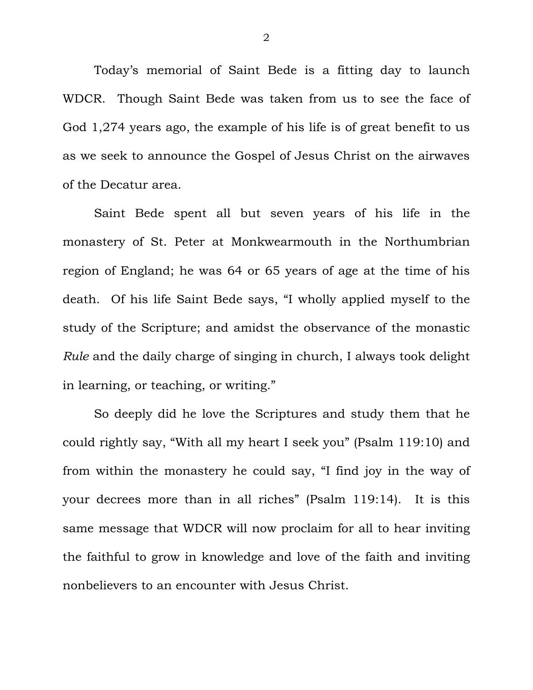Today's memorial of Saint Bede is a fitting day to launch WDCR. Though Saint Bede was taken from us to see the face of God 1,274 years ago, the example of his life is of great benefit to us as we seek to announce the Gospel of Jesus Christ on the airwaves of the Decatur area.

 Saint Bede spent all but seven years of his life in the monastery of St. Peter at Monkwearmouth in the Northumbrian region of England; he was 64 or 65 years of age at the time of his death. Of his life Saint Bede says, "I wholly applied myself to the study of the Scripture; and amidst the observance of the monastic *Rule* and the daily charge of singing in church, I always took delight in learning, or teaching, or writing."

 So deeply did he love the Scriptures and study them that he could rightly say, "With all my heart I seek you" (Psalm 119:10) and from within the monastery he could say, "I find joy in the way of your decrees more than in all riches" (Psalm 119:14). It is this same message that WDCR will now proclaim for all to hear inviting the faithful to grow in knowledge and love of the faith and inviting nonbelievers to an encounter with Jesus Christ.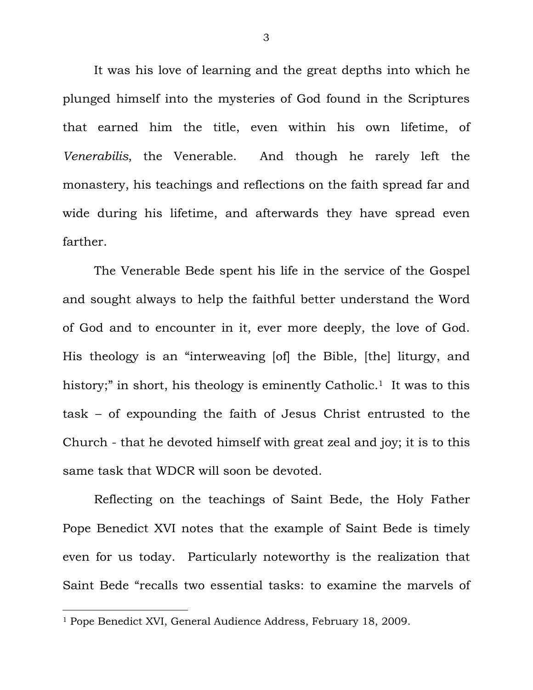It was his love of learning and the great depths into which he plunged himself into the mysteries of God found in the Scriptures that earned him the title, even within his own lifetime, of *Venerabilis*, the Venerable. And though he rarely left the monastery, his teachings and reflections on the faith spread far and wide during his lifetime, and afterwards they have spread even farther.

 The Venerable Bede spent his life in the service of the Gospel and sought always to help the faithful better understand the Word of God and to encounter in it, ever more deeply, the love of God. His theology is an "interweaving [of] the Bible, [the] liturgy, and history;" in short, his theology is eminently Catholic.<sup>1</sup> It was to this task – of expounding the faith of Jesus Christ entrusted to the Church - that he devoted himself with great zeal and joy; it is to this same task that WDCR will soon be devoted.

 Reflecting on the teachings of Saint Bede, the Holy Father Pope Benedict XVI notes that the example of Saint Bede is timely even for us today. Particularly noteworthy is the realization that Saint Bede "recalls two essential tasks: to examine the marvels of

<sup>1</sup> Pope Benedict XVI, General Audience Address, February 18, 2009.